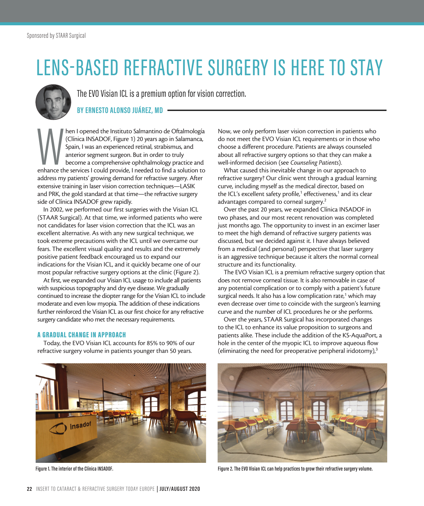# LENS-BASED REFRACTIVE SURGERY IS HERE TO STAY



The EVO Visian ICL is a premium option for vision correction.

### **BY ERNESTO ALONSO JUÁREZ, MD**

the I opened the Instituto Salmantino de Oftalmología (Clínica INSADOF, Figure 1) 20 years ago in Salamanca, Spain, I was an experienced retinal, strabismus, and anterior segment surgeon. But in order to truly become a com hen I opened the Instituto Salmantino de Oftalmología (Clínica INSADOF, Figure 1) 20 years ago in Salamanca, Spain, I was an experienced retinal, strabismus, and anterior segment surgeon. But in order to truly become a comprehensive ophthalmology practice and address my patients' growing demand for refractive surgery. After extensive training in laser vision correction techniques—LASIK and PRK, the gold standard at that time—the refractive surgery side of Clínica INSADOF grew rapidly.

In 2002, we performed our first surgeries with the Visian ICL (STAAR Surgical). At that time, we informed patients who were not candidates for laser vision correction that the ICL was an excellent alternative. As with any new surgical technique, we took extreme precautions with the ICL until we overcame our fears. The excellent visual quality and results and the extremely positive patient feedback encouraged us to expand our indications for the Visian ICL, and it quickly became one of our most popular refractive surgery options at the clinic (Figure 2).

At first, we expanded our Visian ICL usage to include all patients with suspicious topography and dry eye disease. We gradually continued to increase the diopter range for the Visian ICL to include moderate and even low myopia. The addition of these indications further reinforced the Visian ICL as our first choice for any refractive surgery candidate who met the necessary requirements.

#### A GRADUAL CHANGE IN APPROACH

Today, the EVO Visian ICL accounts for 85% to 90% of our refractive surgery volume in patients younger than 50 years.

Now, we only perform laser vision correction in patients who do not meet the EVO Visian ICL requirements or in those who choose a different procedure. Patients are always counseled about all refractive surgery options so that they can make a well-informed decision (see *Counseling Patients*).

What caused this inevitable change in our approach to refractive surgery? Our clinic went through a gradual learning curve, including myself as the medical director, based on the ICL's excellent safety profile,<sup>1</sup> effectiveness,<sup>1</sup> and its clear advantages compared to corneal surgery.2

Over the past 20 years, we expanded Clínica INSADOF in two phases, and our most recent renovation was completed just months ago. The opportunity to invest in an excimer laser to meet the high demand of refractive surgery patients was discussed, but we decided against it. I have always believed from a medical (and personal) perspective that laser surgery is an aggressive technique because it alters the normal corneal structure and its functionality.

The EVO Visian ICL is a premium refractive surgery option that does not remove corneal tissue. It is also removable in case of any potential complication or to comply with a patient's future surgical needs. It also has a low complication rate,<sup>1</sup> which may even decrease over time to coincide with the surgeon's learning curve and the number of ICL procedures he or she performs.

Over the years, STAAR Surgical has incorporated changes to the ICL to enhance its value proposition to surgeons and patients alike. These include the addition of the KS-AquaPort, a hole in the center of the myopic ICL to improve aqueous flow (eliminating the need for preoperative peripheral iridotomy), $3$ 





**Figure 1. The interior of the Clínica INSADOF. Figure 2. The EVO Visian ICL can help practices to grow their refractive surgery volume.**